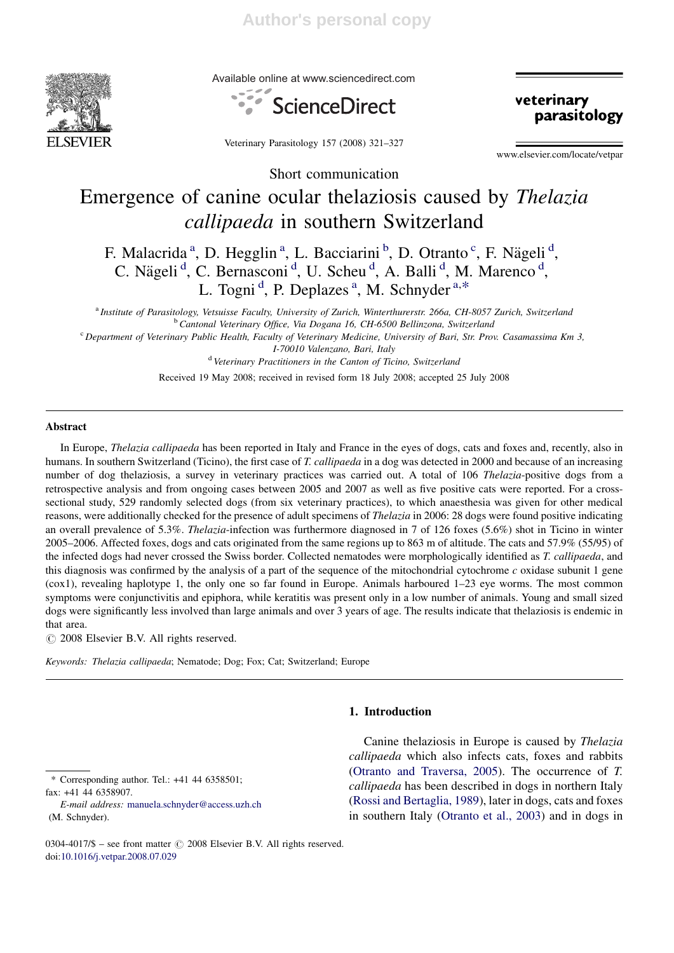

Available online at www.sciencedirect.com





Veterinary Parasitology 157 (2008) 321–327

www.elsevier.com/locate/vetpar

Short communication

# Emergence of canine ocular thelaziosis caused by Thelazia callipaeda in southern Switzerland

F. Malacrida<sup>a</sup>, D. Hegglin<sup>a</sup>, L. Bacciarini<sup>b</sup>, D. Otranto<sup>c</sup>, F. Nägeli<sup>d</sup>, C. Nägeli<sup>d</sup>, C. Bernasconi<sup>d</sup>, U. Scheu<sup>d</sup>, A. Balli<sup>d</sup>, M. Marenco<sup>d</sup>, L. Togni<sup>d</sup>, P. Deplazes<sup>a</sup>, M. Schnyder<sup>a,\*</sup>

<sup>a</sup> Institute of Parasitology, Vetsuisse Faculty, University of Zurich, Winterthurerstr. 266a, CH-8057 Zurich, Switzerland <sup>b</sup> Cantonal Veterinary Office, Via Dogana 16, CH-6500 Bellinzona, Switzerland

<sup>c</sup> Department of Veterinary Public Health, Faculty of Veterinary Medicine, University of Bari, Str. Prov. Casamassima Km 3, I-70010 Valenzano, Bari, Italy

<sup>d</sup> Veterinary Practitioners in the Canton of Ticino, Switzerland

Received 19 May 2008; received in revised form 18 July 2008; accepted 25 July 2008

#### Abstract

In Europe, *Thelazia callipaeda* has been reported in Italy and France in the eyes of dogs, cats and foxes and, recently, also in humans. In southern Switzerland (Ticino), the first case of T. callipaeda in a dog was detected in 2000 and because of an increasing number of dog thelaziosis, a survey in veterinary practices was carried out. A total of 106 Thelazia-positive dogs from a retrospective analysis and from ongoing cases between 2005 and 2007 as well as five positive cats were reported. For a crosssectional study, 529 randomly selected dogs (from six veterinary practices), to which anaesthesia was given for other medical reasons, were additionally checked for the presence of adult specimens of Thelazia in 2006: 28 dogs were found positive indicating an overall prevalence of 5.3%. Thelazia-infection was furthermore diagnosed in 7 of 126 foxes (5.6%) shot in Ticino in winter 2005–2006. Affected foxes, dogs and cats originated from the same regions up to 863 m of altitude. The cats and 57.9% (55/95) of the infected dogs had never crossed the Swiss border. Collected nematodes were morphologically identified as T. callipaeda, and this diagnosis was confirmed by the analysis of a part of the sequence of the mitochondrial cytochrome  $c$  oxidase subunit 1 gene (cox1), revealing haplotype 1, the only one so far found in Europe. Animals harboured 1–23 eye worms. The most common symptoms were conjunctivitis and epiphora, while keratitis was present only in a low number of animals. Young and small sized dogs were significantly less involved than large animals and over 3 years of age. The results indicate that thelaziosis is endemic in that area.

 $\odot$  2008 Elsevier B.V. All rights reserved.

Keywords: Thelazia callipaeda; Nematode; Dog; Fox; Cat; Switzerland; Europe

# 1. Introduction

\* Corresponding author. Tel.: +41 44 6358501; fax: +41 44 6358907.

E-mail address: manuela.schnyder@access.uzh.ch (M. Schnyder).

Canine thelaziosis in Europe is caused by Thelazia callipaeda which also infects cats, foxes and rabbits (Otranto and Traversa, 2005). The occurrence of T. callipaeda has been described in dogs in northern Italy (Rossi and Bertaglia, 1989), later in dogs, cats and foxes in southern Italy (Otranto et al., 2003) and in dogs in

<sup>0304-4017/\$ –</sup> see front matter  $\odot$  2008 Elsevier B.V. All rights reserved. doi:10.1016/j.vetpar.2008.07.029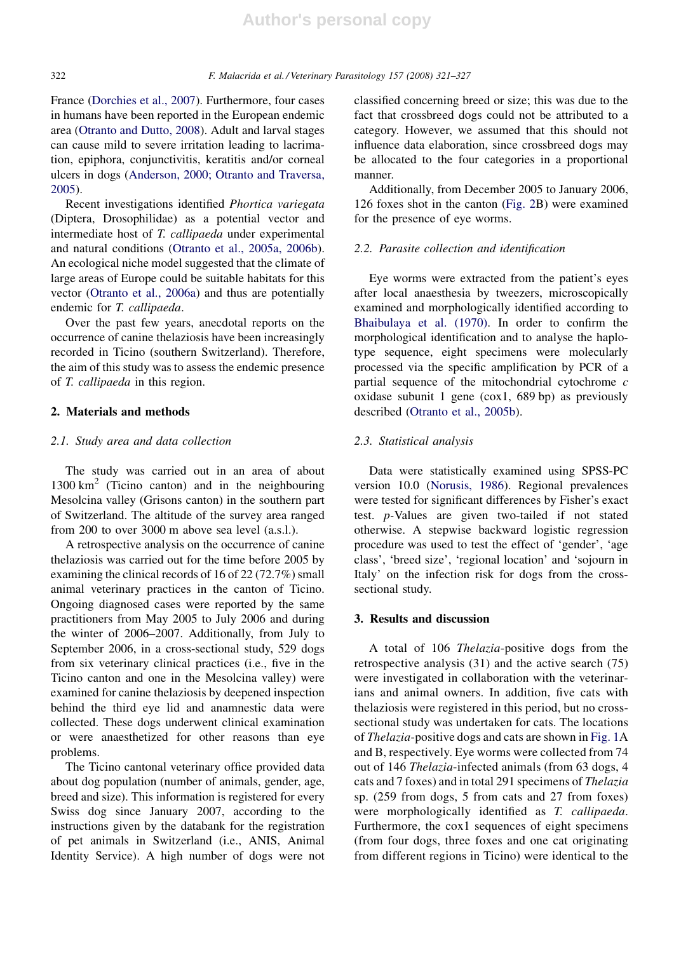France (Dorchies et al., 2007). Furthermore, four cases in humans have been reported in the European endemic area (Otranto and Dutto, 2008). Adult and larval stages can cause mild to severe irritation leading to lacrimation, epiphora, conjunctivitis, keratitis and/or corneal ulcers in dogs (Anderson, 2000; Otranto and Traversa, 2005).

Recent investigations identified Phortica variegata (Diptera, Drosophilidae) as a potential vector and intermediate host of T. callipaeda under experimental and natural conditions (Otranto et al., 2005a, 2006b). An ecological niche model suggested that the climate of large areas of Europe could be suitable habitats for this vector (Otranto et al., 2006a) and thus are potentially endemic for T. callipaeda.

Over the past few years, anecdotal reports on the occurrence of canine thelaziosis have been increasingly recorded in Ticino (southern Switzerland). Therefore, the aim of this study was to assess the endemic presence of T. callipaeda in this region.

#### 2. Materials and methods

# 2.1. Study area and data collection

The study was carried out in an area of about  $1300 \text{ km}^2$  (Ticino canton) and in the neighbouring Mesolcina valley (Grisons canton) in the southern part of Switzerland. The altitude of the survey area ranged from 200 to over 3000 m above sea level (a.s.l.).

A retrospective analysis on the occurrence of canine thelaziosis was carried out for the time before 2005 by examining the clinical records of 16 of 22 (72.7%) small animal veterinary practices in the canton of Ticino. Ongoing diagnosed cases were reported by the same practitioners from May 2005 to July 2006 and during the winter of 2006–2007. Additionally, from July to September 2006, in a cross-sectional study, 529 dogs from six veterinary clinical practices (i.e., five in the Ticino canton and one in the Mesolcina valley) were examined for canine thelaziosis by deepened inspection behind the third eye lid and anamnestic data were collected. These dogs underwent clinical examination or were anaesthetized for other reasons than eye problems.

The Ticino cantonal veterinary office provided data about dog population (number of animals, gender, age, breed and size). This information is registered for every Swiss dog since January 2007, according to the instructions given by the databank for the registration of pet animals in Switzerland (i.e., ANIS, Animal Identity Service). A high number of dogs were not classified concerning breed or size; this was due to the fact that crossbreed dogs could not be attributed to a category. However, we assumed that this should not influence data elaboration, since crossbreed dogs may be allocated to the four categories in a proportional manner.

Additionally, from December 2005 to January 2006, 126 foxes shot in the canton (Fig. 2B) were examined for the presence of eye worms.

# 2.2. Parasite collection and identification

Eye worms were extracted from the patient's eyes after local anaesthesia by tweezers, microscopically examined and morphologically identified according to Bhaibulaya et al. (1970). In order to confirm the morphological identification and to analyse the haplotype sequence, eight specimens were molecularly processed via the specific amplification by PCR of a partial sequence of the mitochondrial cytochrome c oxidase subunit 1 gene (cox1, 689 bp) as previously described (Otranto et al., 2005b).

# 2.3. Statistical analysis

Data were statistically examined using SPSS-PC version 10.0 (Norusis, 1986). Regional prevalences were tested for significant differences by Fisher's exact test. p-Values are given two-tailed if not stated otherwise. A stepwise backward logistic regression procedure was used to test the effect of 'gender', 'age class', 'breed size', 'regional location' and 'sojourn in Italy' on the infection risk for dogs from the crosssectional study.

### 3. Results and discussion

A total of 106 Thelazia-positive dogs from the retrospective analysis (31) and the active search (75) were investigated in collaboration with the veterinarians and animal owners. In addition, five cats with thelaziosis were registered in this period, but no crosssectional study was undertaken for cats. The locations of Thelazia-positive dogs and cats are shown in Fig. 1A and B, respectively. Eye worms were collected from 74 out of 146 Thelazia-infected animals (from 63 dogs, 4 cats and 7 foxes) and in total 291 specimens of Thelazia sp. (259 from dogs, 5 from cats and 27 from foxes) were morphologically identified as T. callipaeda. Furthermore, the cox1 sequences of eight specimens (from four dogs, three foxes and one cat originating from different regions in Ticino) were identical to the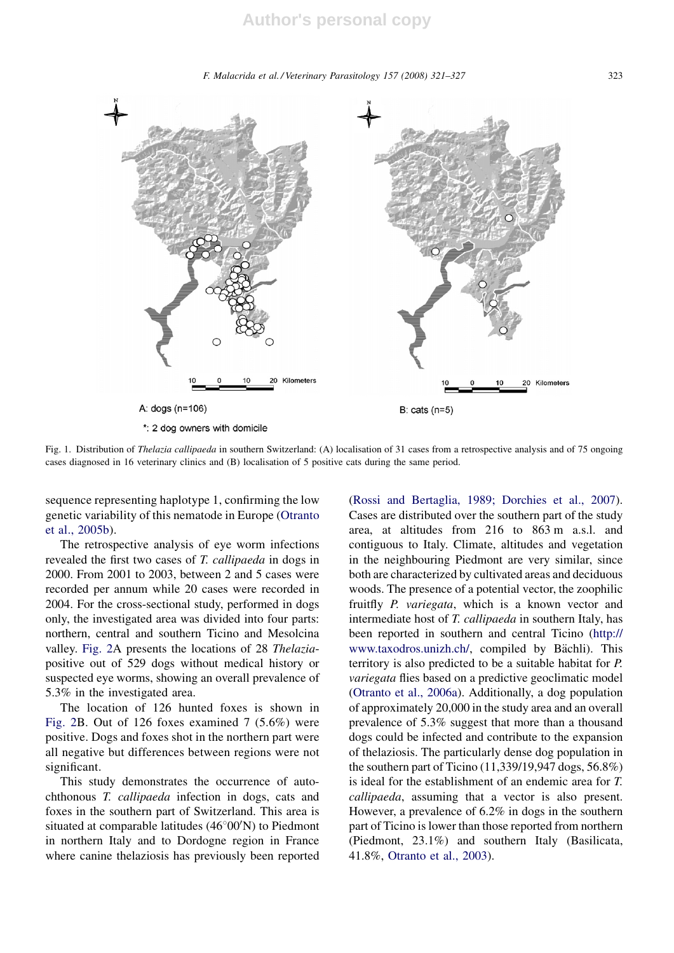F. Malacrida et al. / Veterinary Parasitology 157 (2008) 321–327 323



Fig. 1. Distribution of Thelazia callipaeda in southern Switzerland: (A) localisation of 31 cases from a retrospective analysis and of 75 ongoing cases diagnosed in 16 veterinary clinics and (B) localisation of 5 positive cats during the same period.

sequence representing haplotype 1, confirming the low genetic variability of this nematode in Europe (Otranto et al., 2005b).

The retrospective analysis of eye worm infections revealed the first two cases of T. callipaeda in dogs in 2000. From 2001 to 2003, between 2 and 5 cases were recorded per annum while 20 cases were recorded in 2004. For the cross-sectional study, performed in dogs only, the investigated area was divided into four parts: northern, central and southern Ticino and Mesolcina valley. Fig. 2A presents the locations of 28 Thelaziapositive out of 529 dogs without medical history or suspected eye worms, showing an overall prevalence of 5.3% in the investigated area.

The location of 126 hunted foxes is shown in Fig. 2B. Out of 126 foxes examined 7 (5.6%) were positive. Dogs and foxes shot in the northern part were all negative but differences between regions were not significant.

This study demonstrates the occurrence of autochthonous T. callipaeda infection in dogs, cats and foxes in the southern part of Switzerland. This area is situated at comparable latitudes  $(46^{\circ}00'N)$  to Piedmont in northern Italy and to Dordogne region in France where canine thelaziosis has previously been reported (Rossi and Bertaglia, 1989; Dorchies et al., 2007). Cases are distributed over the southern part of the study area, at altitudes from 216 to 863 m a.s.l. and contiguous to Italy. Climate, altitudes and vegetation in the neighbouring Piedmont are very similar, since both are characterized by cultivated areas and deciduous woods. The presence of a potential vector, the zoophilic fruitfly P. variegata, which is a known vector and intermediate host of T. callipaeda in southern Italy, has been reported in southern and central Ticino (http:// www.taxodros.unizh.ch/, compiled by Bächli). This territory is also predicted to be a suitable habitat for P. variegata flies based on a predictive geoclimatic model (Otranto et al., 2006a). Additionally, a dog population of approximately 20,000 in the study area and an overall prevalence of 5.3% suggest that more than a thousand dogs could be infected and contribute to the expansion of thelaziosis. The particularly dense dog population in the southern part of Ticino (11,339/19,947 dogs, 56.8%) is ideal for the establishment of an endemic area for T. callipaeda, assuming that a vector is also present. However, a prevalence of 6.2% in dogs in the southern part of Ticino is lower than those reported from northern (Piedmont, 23.1%) and southern Italy (Basilicata, 41.8%, Otranto et al., 2003).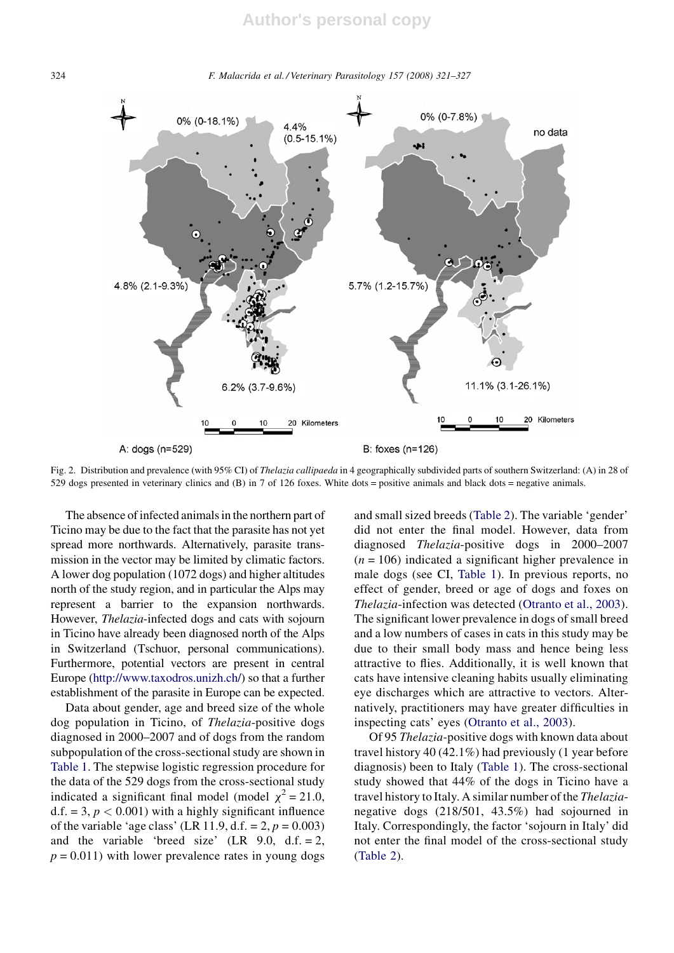324 F. Malacrida et al. / Veterinary Parasitology 157 (2008) 321–327



Fig. 2. Distribution and prevalence (with 95% CI) of *Thelazia callipaeda* in 4 geographically subdivided parts of southern Switzerland: (A) in 28 of 529 dogs presented in veterinary clinics and (B) in 7 of 126 foxes. White dots = positive animals and black dots = negative animals.

The absence of infected animals in the northern part of Ticino may be due to the fact that the parasite has not yet spread more northwards. Alternatively, parasite transmission in the vector may be limited by climatic factors. A lower dog population (1072 dogs) and higher altitudes north of the study region, and in particular the Alps may represent a barrier to the expansion northwards. However, Thelazia-infected dogs and cats with sojourn in Ticino have already been diagnosed north of the Alps in Switzerland (Tschuor, personal communications). Furthermore, potential vectors are present in central Europe (http://www.taxodros.unizh.ch/) so that a further establishment of the parasite in Europe can be expected.

Data about gender, age and breed size of the whole dog population in Ticino, of Thelazia-positive dogs diagnosed in 2000–2007 and of dogs from the random subpopulation of the cross-sectional study are shown in Table 1. The stepwise logistic regression procedure for the data of the 529 dogs from the cross-sectional study indicated a significant final model (model  $\chi^2 = 21.0$ , d.f. = 3,  $p < 0.001$ ) with a highly significant influence of the variable 'age class' (LR 11.9, d.f. =  $2, p = 0.003$ ) and the variable 'breed size'  $(LR \ 9.0, d.f. = 2,$  $p = 0.011$ ) with lower prevalence rates in young dogs and small sized breeds (Table 2). The variable 'gender' did not enter the final model. However, data from diagnosed Thelazia-positive dogs in 2000–2007  $(n = 106)$  indicated a significant higher prevalence in male dogs (see CI, Table 1). In previous reports, no effect of gender, breed or age of dogs and foxes on Thelazia-infection was detected (Otranto et al., 2003). The significant lower prevalence in dogs of small breed and a low numbers of cases in cats in this study may be due to their small body mass and hence being less attractive to flies. Additionally, it is well known that cats have intensive cleaning habits usually eliminating eye discharges which are attractive to vectors. Alternatively, practitioners may have greater difficulties in inspecting cats' eyes (Otranto et al., 2003).

Of 95 Thelazia-positive dogs with known data about travel history 40 (42.1%) had previously (1 year before diagnosis) been to Italy (Table 1). The cross-sectional study showed that 44% of the dogs in Ticino have a travel history to Italy. A similar number of the Thelazianegative dogs (218/501, 43.5%) had sojourned in Italy. Correspondingly, the factor 'sojourn in Italy' did not enter the final model of the cross-sectional study (Table 2).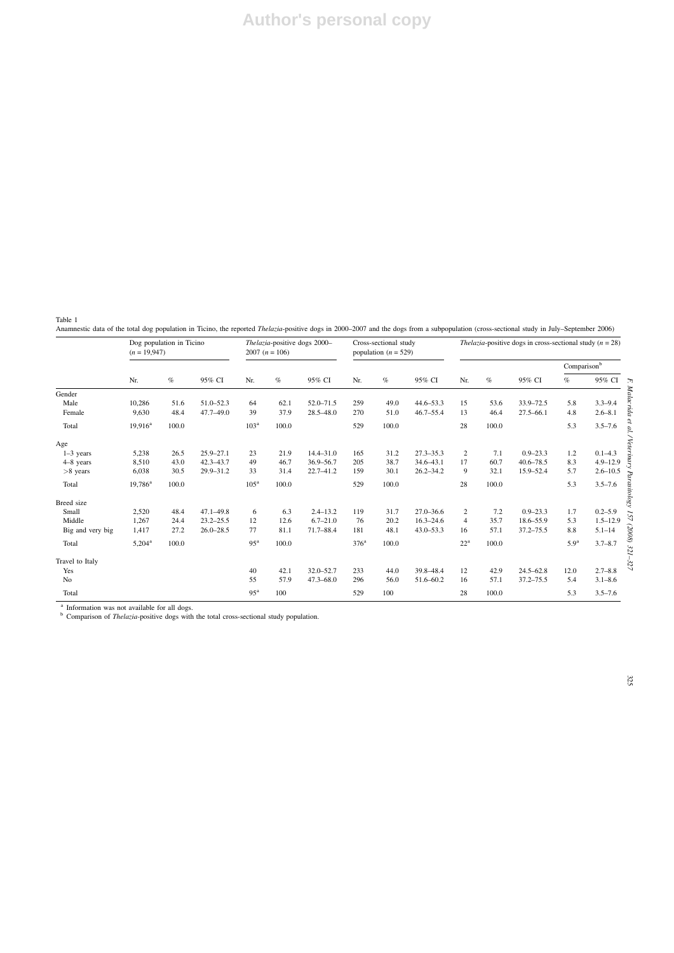Table 1

Anamnestic data of the total dog population in Ticino, the reported *Thelazia-positive dogs* in 2000–2007 and the dogs from a subpopulation (cross-sectional study in July–September 2006)

|                  | Dog population in Ticino<br>$(n = 19.947)$ |       |               | Thelazia-positive dogs 2000-<br>2007 $(n = 106)$ |       |               | Cross-sectional study<br>population ( $n = 529$ ) |       |               | <i>Thelazia-positive dogs in cross-sectional study (<math>n = 28</math>)</i> |       |               |                  |              |
|------------------|--------------------------------------------|-------|---------------|--------------------------------------------------|-------|---------------|---------------------------------------------------|-------|---------------|------------------------------------------------------------------------------|-------|---------------|------------------|--------------|
|                  |                                            |       |               |                                                  |       |               |                                                   |       |               |                                                                              |       |               | Comparisonb      |              |
|                  | Nr.                                        | $\%$  | 95% CI        | Nr.                                              | $\%$  | 95% CI        | Nr.                                               | $\%$  | 95% CI        | Nr.                                                                          | $\%$  | 95% CI        | $\%$             | 95% CI       |
| Gender           |                                            |       |               |                                                  |       |               |                                                   |       |               |                                                                              |       |               |                  |              |
| Male             | 10,286                                     | 51.6  | $51.0 - 52.3$ | 64                                               | 62.1  | 52.0-71.5     | 259                                               | 49.0  | $44.6 - 53.3$ | 15                                                                           | 53.6  | 33.9-72.5     | 5.8              | $3.3 - 9.4$  |
| Female           | 9,630                                      | 48.4  | $47.7 - 49.0$ | 39                                               | 37.9  | $28.5 - 48.0$ | 270                                               | 51.0  | $46.7 - 55.4$ | 13                                                                           | 46.4  | $27.5 - 66.1$ | 4.8              | $2.6 - 8.1$  |
| Total            | $19,916^a$                                 | 100.0 |               | 103 <sup>a</sup>                                 | 100.0 |               | 529                                               | 100.0 |               | 28                                                                           | 100.0 |               | 5.3              | $3.5 - 7.6$  |
| Age              |                                            |       |               |                                                  |       |               |                                                   |       |               |                                                                              |       |               |                  |              |
| $1-3$ years      | 5,238                                      | 26.5  | $25.9 - 27.1$ | 23                                               | 21.9  | $14.4 - 31.0$ | 165                                               | 31.2  | $27.3 - 35.3$ | 2                                                                            | 7.1   | $0.9 - 23.3$  | 1.2              | $0.1 - 4.3$  |
| $4-8$ years      | 8,510                                      | 43.0  | 42.3-43.7     | 49                                               | 46.7  | 36.9-56.7     | 205                                               | 38.7  | $34.6 - 43.1$ | 17                                                                           | 60.7  | $40.6 - 78.5$ | 8.3              | $4.9 - 12.9$ |
| $>8$ years       | 6,038                                      | 30.5  | 29.9-31.2     | 33                                               | 31.4  | $22.7 - 41.2$ | 159                                               | 30.1  | $26.2 - 34.2$ | 9                                                                            | 32.1  | 15.9-52.4     | 5.7              | $2.6 - 10.5$ |
| Total            | $19,786^a$                                 | 100.0 |               | 105 <sup>a</sup>                                 | 100.0 |               | 529                                               | 100.0 |               | 28                                                                           | 100.0 |               | 5.3              | $3.5 - 7.6$  |
| Breed size       |                                            |       |               |                                                  |       |               |                                                   |       |               |                                                                              |       |               |                  |              |
| Small            | 2,520                                      | 48.4  | $47.1 - 49.8$ | 6                                                | 6.3   | $2.4 - 13.2$  | 119                                               | 31.7  | $27.0 - 36.6$ | 2                                                                            | 7.2   | $0.9 - 23.3$  | 1.7              | $0.2 - 5.9$  |
| Middle           | 1,267                                      | 24.4  | $23.2 - 25.5$ | 12                                               | 12.6  | $6.7 - 21.0$  | 76                                                | 20.2  | $16.3 - 24.6$ | $\overline{4}$                                                               | 35.7  | 18.6-55.9     | 5.3              | $1.5 - 12.9$ |
| Big and very big | 1,417                                      | 27.2  | $26.0 - 28.5$ | 77                                               | 81.1  | 71.7-88.4     | 181                                               | 48.1  | $43.0 - 53.3$ | 16                                                                           | 57.1  | $37.2 - 75.5$ | 8.8              | $5.1 - 14$   |
| Total            | $5,204^{\rm a}$                            | 100.0 |               | 95 <sup>a</sup>                                  | 100.0 |               | $376^{\mathrm{a}}$                                | 100.0 |               | $22^{\rm a}$                                                                 | 100.0 |               | 5.9 <sup>a</sup> | $3.7 - 8.7$  |
| Travel to Italy  |                                            |       |               |                                                  |       |               |                                                   |       |               |                                                                              |       |               |                  |              |
| Yes              |                                            |       |               | 40                                               | 42.1  | 32.0-52.7     | 233                                               | 44.0  | 39.8-48.4     | 12                                                                           | 42.9  | $24.5 - 62.8$ | 12.0             | $2.7 - 8.8$  |
| N <sub>o</sub>   |                                            |       |               | 55                                               | 57.9  | $47.3 - 68.0$ | 296                                               | 56.0  | 51.6-60.2     | 16                                                                           | 57.1  | $37.2 - 75.5$ | 5.4              | $3.1 - 8.6$  |
| Total            |                                            |       |               | 95 <sup>a</sup>                                  | 100   |               | 529                                               | 100   |               | 28                                                                           | 100.0 |               | 5.3              | $3.5 - 7.6$  |

<sup>a</sup> Information was not available for all dogs.<br><sup>b</sup> Comparison of *Thelazia*-positive dogs with the total cross-sectional study population.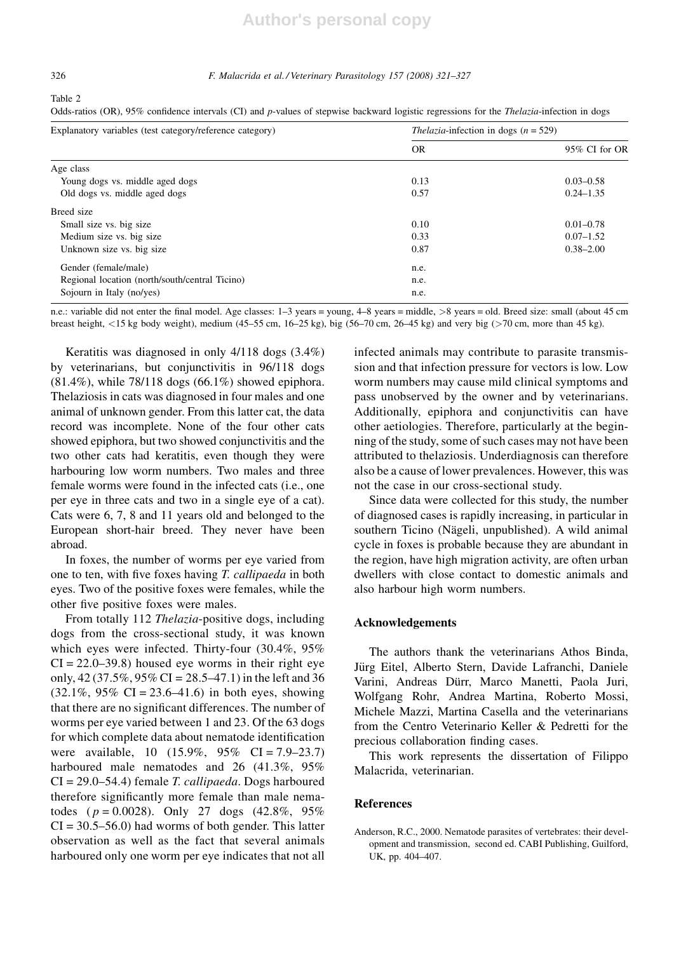#### 326 F. Malacrida et al. / Veterinary Parasitology 157 (2008) 321–327

#### Table 2

Odds-ratios (OR), 95% confidence intervals (CI) and p-values of stepwise backward logistic regressions for the *Thelazia*-infection in dogs

| Explanatory variables (test category/reference category) | <i>Thelazia</i> -infection in dogs $(n = 529)$ |               |
|----------------------------------------------------------|------------------------------------------------|---------------|
|                                                          | <b>OR</b>                                      | 95% CI for OR |
| Age class                                                |                                                |               |
| Young dogs vs. middle aged dogs                          | 0.13                                           | $0.03 - 0.58$ |
| Old dogs vs. middle aged dogs                            | 0.57                                           | $0.24 - 1.35$ |
| Breed size                                               |                                                |               |
| Small size vs. big size                                  | 0.10                                           | $0.01 - 0.78$ |
| Medium size vs. big size                                 | 0.33                                           | $0.07 - 1.52$ |
| Unknown size vs. big size                                | 0.87                                           | $0.38 - 2.00$ |
| Gender (female/male)                                     | n.e.                                           |               |
| Regional location (north/south/central Ticino)           | n.e.                                           |               |
| Sojourn in Italy (no/yes)                                | n.e.                                           |               |

n.e.: variable did not enter the final model. Age classes: 1–3 years = young, 4–8 years = middle, >8 years = old. Breed size: small (about 45 cm breast height, <15 kg body weight), medium (45–55 cm, 16–25 kg), big (56–70 cm, 26–45 kg) and very big (>70 cm, more than 45 kg).

Keratitis was diagnosed in only 4/118 dogs (3.4%) by veterinarians, but conjunctivitis in 96/118 dogs  $(81.4\%)$ , while 78/118 dogs  $(66.1\%)$  showed epiphora. Thelaziosis in cats was diagnosed in four males and one animal of unknown gender. From this latter cat, the data record was incomplete. None of the four other cats showed epiphora, but two showed conjunctivitis and the two other cats had keratitis, even though they were harbouring low worm numbers. Two males and three female worms were found in the infected cats (i.e., one per eye in three cats and two in a single eye of a cat). Cats were 6, 7, 8 and 11 years old and belonged to the European short-hair breed. They never have been abroad.

In foxes, the number of worms per eye varied from one to ten, with five foxes having T. callipaeda in both eyes. Two of the positive foxes were females, while the other five positive foxes were males.

From totally 112 *Thelazia-positive dogs, including* dogs from the cross-sectional study, it was known which eyes were infected. Thirty-four (30.4%, 95%  $CI = 22.0-39.8$ ) housed eye worms in their right eye only,  $42 (37.5\%, 95\% \text{ CI} = 28.5 - 47.1)$  in the left and 36  $(32.1\%, 95\% \text{ CI} = 23.6 - 41.6)$  in both eyes, showing that there are no significant differences. The number of worms per eye varied between 1 and 23. Of the 63 dogs for which complete data about nematode identification were available, 10  $(15.9\%, 95\% \text{ CI} = 7.9 - 23.7)$ harboured male nematodes and 26 (41.3%, 95%)  $CI = 29.0 - 54.4$ ) female *T. callipaeda*. Dogs harboured therefore significantly more female than male nematodes ( $p = 0.0028$ ). Only 27 dogs (42.8%, 95%)  $CI = 30.5 - 56.0$  had worms of both gender. This latter observation as well as the fact that several animals harboured only one worm per eye indicates that not all infected animals may contribute to parasite transmission and that infection pressure for vectors is low. Low worm numbers may cause mild clinical symptoms and pass unobserved by the owner and by veterinarians. Additionally, epiphora and conjunctivitis can have other aetiologies. Therefore, particularly at the beginning of the study, some of such cases may not have been attributed to thelaziosis. Underdiagnosis can therefore also be a cause of lower prevalences. However, this was not the case in our cross-sectional study.

Since data were collected for this study, the number of diagnosed cases is rapidly increasing, in particular in southern Ticino (Nägeli, unpublished). A wild animal cycle in foxes is probable because they are abundant in the region, have high migration activity, are often urban dwellers with close contact to domestic animals and also harbour high worm numbers.

#### Acknowledgements

The authors thank the veterinarians Athos Binda, Jürg Eitel, Alberto Stern, Davide Lafranchi, Daniele Varini, Andreas Dürr, Marco Manetti, Paola Juri, Wolfgang Rohr, Andrea Martina, Roberto Mossi, Michele Mazzi, Martina Casella and the veterinarians from the Centro Veterinario Keller & Pedretti for the precious collaboration finding cases.

This work represents the dissertation of Filippo Malacrida, veterinarian.

# References

Anderson, R.C., 2000. Nematode parasites of vertebrates: their development and transmission, second ed. CABI Publishing, Guilford, UK, pp. 404–407.